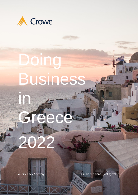

# Doing Business

G

2022

in

Audit / Tax / Advisory **Smart decisions. Lasting value.**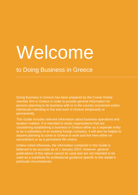# Welcome

# to Doing Business in Greece

Doing Business in Greece has been prepared by the Crowe Global member firm in Greece in order to provide general information for persons planning to do business with or in the country concerned and/or individuals intending to live and work in Greece temporarily or permanently.

This Guide includes relevant information about business operations and taxation matters. It is intended to assist organizations that are considering establishing a business in Greece either as a separate entity or as a subsidiary of an existing foreign company. It will also be helpful to anyone planning to come to Greece to work and live here either on secondment or as a permanent life choice.

Unless noted otherwise, the information contained in this Guide is believed to be accurate as of 1 January 2022. However, general publications of this nature cannot be used and are not intended to be used as a substitute for professional guidance specific to the reader's particular circumstances.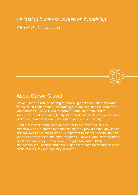*All lasting business is built on friendship. Alfred A. Montapert*



# About Crowe Global

Crowe Global is ranked among the top 10 global accounting networks, with over 200 independent accounting and advisory firms in more than 145 countries. Crowe Global's member firms are committed to impeccable quality service, highly integrated service delivery processes and a common set of core values that guide decisions daily.

Each firm is well-established as a leader in its national business community and is staffed by nationals, thereby providing the knowledge of local laws and customs which is important to clients undertaking new ventures or expanding into other countries. Crowe Global member firms are known for their personal service to privately and publicly held businesses in all sectors and have built an international reputation in the areas of audit, tax and advisory services.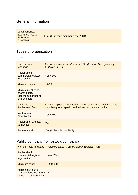#### General information

Local currency, Exchange rate to EUR as of 01/06/2020 Εuro (Eurozone member since 2001)

## Types of organization

LLC

| Name in local<br>language                                               | Eteria Periorismenis Efthinis - Ε.Ρ.Ε. (Εταιρεία Περιορισμένης<br>$E$ υθύνης - Ε.Π.Ε.)                                         |
|-------------------------------------------------------------------------|--------------------------------------------------------------------------------------------------------------------------------|
| Registrable in<br>commercial register /<br>legal entity                 | Yes / Yes                                                                                                                      |
| Minimum capital                                                         | 1,00 €                                                                                                                         |
| Minimal number of<br>shareholders/<br>Maximum number of<br>shareholders | 1                                                                                                                              |
| Capital tax /<br><b>Registration fees</b>                               | A 0,5% Capital Concentration Tax on contributed capital applies<br>on subsequent capital contributions not on initial capital. |
| Written form/<br>notarization                                           | Yes / Yes                                                                                                                      |
| <b>Registration with tax</b><br>authorities                             | Yes                                                                                                                            |
| Statutory audit                                                         | Yes (if classified as SME)                                                                                                     |

## Public company (joint-stock company)

| Name in local language                                                | Anonimi Eteria - A.E. (Ανώνυμη Εταιρεία - Α.Ε.) |
|-----------------------------------------------------------------------|-------------------------------------------------|
| Registrable in<br>commercial register /<br>legal entity               | Yes / Yes                                       |
| Minimum capital                                                       | 25.000,00 €                                     |
| Minimal number of<br>shareholders/Maximum 1<br>number of shareholders |                                                 |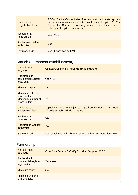| Capital tax /<br><b>Registration fees</b>   | A 0,5% Capital Concentration Tax on contributed capital applies<br>on subsequent capital contributions not on initial capital. A 0,1%<br>Competition Committee surcharge is levied on both initial and<br>subsequent capital contributions. |
|---------------------------------------------|---------------------------------------------------------------------------------------------------------------------------------------------------------------------------------------------------------------------------------------------|
| Written form/<br>notarization               | Yes / Yes                                                                                                                                                                                                                                   |
| <b>Registration with tax</b><br>authorities | Yes                                                                                                                                                                                                                                         |
| Statutory audit                             | Yes (if classified as SME).                                                                                                                                                                                                                 |

# Branch (permanent establishment)

| Name in local<br>language                                               | Ipokatastima eterias (Υποκατάστημα εταιρείας)                                                               |
|-------------------------------------------------------------------------|-------------------------------------------------------------------------------------------------------------|
| Registrable in<br>commercial register /<br>legal entity                 | Yes / No                                                                                                    |
| Minimum capital                                                         | n/a                                                                                                         |
| Minimal number of<br>shareholders/<br>Maximum number of<br>shareholders | n/a                                                                                                         |
| Capital tax /<br><b>Registration fees</b>                               | Capital injections not subject to Capital Concentration Tax if Head<br>Office is established within the EU. |
| Written form/<br>notarization                                           | n/a                                                                                                         |
| <b>Registration with tax</b><br>authorities                             | Yes                                                                                                         |
| <b>Statutory audit</b>                                                  | Yes, conditionally, i.e. branch of foreign banking institutions, etc.                                       |
|                                                                         |                                                                                                             |

# **Partnership**

| Name in local<br>language                               | Omorithmi Eteria - Ο.Ε. (Ομόρρυθμη Εταιρεία - Ο.Ε.) |
|---------------------------------------------------------|-----------------------------------------------------|
| Registrable in<br>commercial register /<br>legal entity | Yes / Yes                                           |
| Minimum capital                                         | n/a                                                 |
| Minimal number of<br>shareholders/                      | $\mathcal{P}$                                       |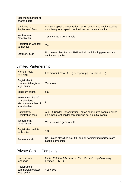| Maximum number of<br>shareholders           |                                                                                                                                |
|---------------------------------------------|--------------------------------------------------------------------------------------------------------------------------------|
| Capital tax /<br><b>Registration fees</b>   | A 0,5% Capital Concentration Tax on contributed capital applies<br>on subsequent capital contributions not on initial capital. |
| Written form/<br>notarization               | Yes / No, as a general rule                                                                                                    |
| <b>Registration with tax</b><br>authorities | Yes                                                                                                                            |
| <b>Statutory audit</b>                      | No, unless classified as SME and all participating partners are<br>capital companies.                                          |

# Limited Partenership

| Name in local<br>language                                               | Eterorithmi Eteria - Ε.Ε (Ετερόρρυθμη Εταιρεία - Ε.Ε.)                                                                         |
|-------------------------------------------------------------------------|--------------------------------------------------------------------------------------------------------------------------------|
| Registrable in<br>commercial register /<br>legal entity                 | Yes / Yes                                                                                                                      |
| Minimum capital                                                         | n/a                                                                                                                            |
| Minimal number of<br>shareholders/<br>Maximum number of<br>shareholders | 2                                                                                                                              |
| Capital tax /<br><b>Registration fees</b>                               | A 0,5% Capital Concentration Tax on contributed capital applies<br>on subsequent capital contributions not on initial capital. |
| Written form/<br>notarization                                           | Yes / No, as a general rule                                                                                                    |
| <b>Registration with tax</b><br>authorities                             | Yes                                                                                                                            |
| <b>Statutory audit</b>                                                  | No, unless classified as SME and all participating partners are<br>capital companies.                                          |

# Private Capital Company

| Name in local                                           | Idiotiki Kefaleouhiki Eteria - Ι.Κ.Ε. (Ιδιωτική Κεφαλαιουχική |
|---------------------------------------------------------|---------------------------------------------------------------|
| language                                                | $E$ ταιρεία - Ι.Κ.Ε.).                                        |
| Registrable in<br>commercial register /<br>legal entity | Yes / Yes                                                     |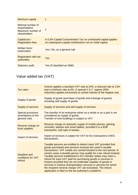| Minimum capital                                                         | 1                                                                                                                              |
|-------------------------------------------------------------------------|--------------------------------------------------------------------------------------------------------------------------------|
| Minimal number of<br>shareholders/<br>Maximum number of<br>shareholders | 1                                                                                                                              |
| Capital tax /<br><b>Registration fees</b>                               | A 0,5% Capital Concentration Tax on contributed capital applies<br>on subsequent capital contributions not on initial capital. |
| Written form/<br>notarization                                           | Yes / No, as a general rule                                                                                                    |
| <b>Registration with tax</b><br>authorities                             | Yes                                                                                                                            |
| <b>Statutory audit</b>                                                  | Yes (if classified as SME)                                                                                                     |

# Value added tax (VAT)

| <b>Tax rates</b>                                                 | Greece applies a standard VAT rate at 24%, a reduced rate at 13%<br>and a minimum rate at 6%. A special V.A.T. regime (30%<br>reduction) applies exclusively to certain islands of the Aegean sea.                                                                                                                                                                                                                                                                                                                                                                                                                                                                      |
|------------------------------------------------------------------|-------------------------------------------------------------------------------------------------------------------------------------------------------------------------------------------------------------------------------------------------------------------------------------------------------------------------------------------------------------------------------------------------------------------------------------------------------------------------------------------------------------------------------------------------------------------------------------------------------------------------------------------------------------------------|
| Supply of goods                                                  | Supply of goods (purchase of goods and exhange of goods)<br>including self-supply of goods.                                                                                                                                                                                                                                                                                                                                                                                                                                                                                                                                                                             |
| Supply of services                                               | Supply of services and self-supply of services.                                                                                                                                                                                                                                                                                                                                                                                                                                                                                                                                                                                                                         |
| <b>Special provisions</b><br>(exemptions to the<br>general rule) | The transfer of an enterprise either as a whole or as a part is not<br>considered as supply of goods.<br>Transfer of new buildings is subject to VAT.                                                                                                                                                                                                                                                                                                                                                                                                                                                                                                                   |
| Reverse charge on<br>local supplies                              | Reverse charge on domestic supply of mobile phones, gaming<br>consoles, laptops and smart tablets, provided it is a B2B<br>transaction, and sale of wastes.                                                                                                                                                                                                                                                                                                                                                                                                                                                                                                             |
| Import of services                                               | Import of services is subject for VAT for EU transactions (VIES<br>Declaration).                                                                                                                                                                                                                                                                                                                                                                                                                                                                                                                                                                                        |
| Deadline and<br>conditions for VAT<br>refund                     | Taxable persons are entitled to deduct input VAT provided that<br>goods purchased and services received are used in taxable<br>transactions. VAT credits are carried forward to the next period. In<br>certain cases a taxable person may qualify for a tax refund instead.<br>Taxable persons established in EU member states may claim a<br>refund for input VAT paid for purchasing goods or services in<br>Greece provided they do not undertake supplies of goods or<br>services in Greece (transportation services or services for which<br>the recipient reverse charge VAT are excluded). The refund<br>application is filed on the tax authority's e-platform. |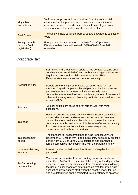| <b>Major Tax</b><br>exemptions                   | VAT tax exemptions include provision of services of a social or<br>cultural nature / importance such as medical, education and<br>insurance services, exports, international transit of goods and<br>shipping related transactions or the aircraft sector. |
|--------------------------------------------------|------------------------------------------------------------------------------------------------------------------------------------------------------------------------------------------------------------------------------------------------------------|
| <b>Real Estate</b>                               | The supply of new buildings (built 2006 and onwards) is subject to<br>VAT.                                                                                                                                                                                 |
| Foreign taxable<br>persons (VAT<br>registration) | Foreign persons are required to register for VAT purposes.<br>Distance sellers have a threshold of €10.000 (01 June 2021<br>onwards).                                                                                                                      |

# Corporate tax

| Both IFRS and Greek GAAP apply. Listed companies (and under<br>conditions their subsidiaries) and public sector organizations are<br>required to prepare financial statements under IFRS.<br>Financial statements must be prepared annually.<br>Double entry or single-entry books based on legal form or<br>turnover. Capital companies, limited partnerships by shares and<br>partnerships whose partners include exclusively capital<br>companies are required to keep double entry books. As a rule, all<br>other entities may keep double entry books is the annual turnover<br>exceeds €1,5m. |
|-----------------------------------------------------------------------------------------------------------------------------------------------------------------------------------------------------------------------------------------------------------------------------------------------------------------------------------------------------------------------------------------------------------------------------------------------------------------------------------------------------------------------------------------------------------------------------------------------------|
| All legal entities are taxed at a flat rate of 22% with minor<br>exceptions.                                                                                                                                                                                                                                                                                                                                                                                                                                                                                                                        |
| Resident entities are taxed on a worldwide income basis while<br>non-resident entities on Greek sourced income. All revenues<br>derived by a legal entity are classified as business income. A<br>company's taxable business profit is the sum of revenues arising<br>from business transactions minus business expenses,<br>depreciation and bad-debt provisions.                                                                                                                                                                                                                                  |
| The standard tax assessment period runs from January 1 to<br>December 31. Entities that keep double entry books may opt for a<br>period from July 1 to June 30. Subsidiaries and branches of<br>foreign companies may keep in line with the parent company.                                                                                                                                                                                                                                                                                                                                         |
| Losses may be carried forward for 5 years. Carry-backs not<br>permitted.                                                                                                                                                                                                                                                                                                                                                                                                                                                                                                                            |
| Tax depreciation varies from accounting depreciation allowed<br>under the GAAP or IFRS in terms of the timing of the depreciation<br>expense i.e. tax depreciations start from the next month following<br>the use of an asset and are determined on statutory rates while<br>accounting depreciations start when the asset is ready for use<br>and are determined on the estimated life expectancy of an asset.                                                                                                                                                                                    |
|                                                                                                                                                                                                                                                                                                                                                                                                                                                                                                                                                                                                     |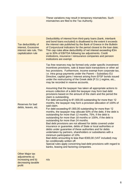|                                                                                                | These variations may result in temporary mismatches. Such<br>mismatches are filed to the Tax Authority.                                                                                                                                                                                                                                                                                                                                                                                                                                                                                                                                                                                                                                                                                                                                                                                                                                                                                                                                                                                                                                                                                                                                                                                                                                                                                                                                                                                                                                                                                                                                                   |
|------------------------------------------------------------------------------------------------|-----------------------------------------------------------------------------------------------------------------------------------------------------------------------------------------------------------------------------------------------------------------------------------------------------------------------------------------------------------------------------------------------------------------------------------------------------------------------------------------------------------------------------------------------------------------------------------------------------------------------------------------------------------------------------------------------------------------------------------------------------------------------------------------------------------------------------------------------------------------------------------------------------------------------------------------------------------------------------------------------------------------------------------------------------------------------------------------------------------------------------------------------------------------------------------------------------------------------------------------------------------------------------------------------------------------------------------------------------------------------------------------------------------------------------------------------------------------------------------------------------------------------------------------------------------------------------------------------------------------------------------------------------------|
| Tax deductibility of<br>interest, Excessive<br>interest rate rule, Thin<br>capitalization rule | Deductibility of interest from third-party loans (bank, interbank<br>and bond loans excluded) is disallowed to the extent it exceeds<br>the interest rate published by the Bank of Greece in the Bulletin<br>of Conjunctural Indicators for the period closest to the loan date;<br>Thin cap rules allow deductibility of net interest exceeding $\epsilon$ 3m<br>up to 30% of EBITDA following tax adjustments. Credit<br>institutions, insurance / reinsurance companies and pension<br>institutions are exempt.                                                                                                                                                                                                                                                                                                                                                                                                                                                                                                                                                                                                                                                                                                                                                                                                                                                                                                                                                                                                                                                                                                                                        |
| Reserves for bad<br>debts, leaves, etc.                                                        | Tax free reserves may be formed only under specific investment<br>incentives provisions, sale & lease back transactions or other ad<br>hoc provisions. Furthermore, income exempt from corporate tax,<br>i.e. intra group payments under the Parent - Subsidiary EU<br>Directive, capital gains / interest arising from EFSF bonds issued<br>under the restructuring of the Greek debt (P.S.I.) regime, etc.,<br>may be recorded in reserve accounts.<br>Assuming that the taxpayer has taken all appropriate actions to<br>ensure collection of a debt the taxpayer may form bad debt<br>provisions based on the amount of the claim and the period the<br>claim is outstanding.<br>For debt amounting to $€1.000,00$ outstanding for more than 12<br>months, the taxpayer may form a provision allocation of 100% of<br>said claim.<br>For debt exceeding $€1.000,00$ outstanding for more than 12<br>months, the taxpayer may allocate 50% of the debt, if the debt is<br>outstanding for more than 12 months, 75%, if the debt is<br>outstanding for more than 18 months or 100%, if the debt is<br>outstanding for more than 24 months.<br>Bad debt provisions are not allowed for debts covered under<br>insurance or guarantee, debts of State or local authorities or<br>debts under guarantee of these authorities and for debts<br>undertaken by partners, shareholders or subsidiaries with a<br>minimum participation of 10%.<br>Bad debts amounting to less than €300,00 (VAT included) may<br>be conditionally written off.<br>Special rules apply concerning bad-debt provisions with regard to<br>banks, leasing and factoring companies. |
| <b>Other Major tax</b><br>adjustments a)<br>increasing and b)<br>decreasing taxable<br>profit  | n/a                                                                                                                                                                                                                                                                                                                                                                                                                                                                                                                                                                                                                                                                                                                                                                                                                                                                                                                                                                                                                                                                                                                                                                                                                                                                                                                                                                                                                                                                                                                                                                                                                                                       |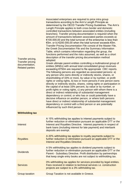| Transfer pricing,<br><b>Transfer pricing</b><br>documentation,<br><b>Related parties</b> | Associated enterprises are required to price intra group<br>transactions according to the Arm's Length Principle as<br>determined by the OECD Transfer Pricing Guidelines. The Arm's<br>Length Principle applies to both cross border and domestic<br>controlled transactions between associated entities (including<br>branches). Transfer pricing documentation is required when the<br>amount of transactions between associated parties exceeds a)<br>€100.000,00 and the total turnover of the enterprise is less than<br>€5m. or b) €200.000,00 when the total turnover exceeds €5m.<br>Transfer Pricing Documentation File consist of the Master File,<br>the Greek Documentation File and the Summary Information<br>Table, which contains information regarding the group, the<br>functions performed and the risks assumed, as well as a short<br>description of the transfer pricing documentation method<br>adopted.<br>Greek ultimate parent entities controlling a multinational group of<br>entities (MNEs) with annual total consolidated group revenues<br>exceeding €750m are required to file appropriate CBC reports.<br>The following persons are regarded as associated persons: a)<br>any person who owns directly or indirectly stocks, shares, or<br>shareholding of 33% or more, by value or by number, or profit<br>rights or voting rights, b) two or more persons if one person owns<br>directly or indirectly stocks, shares, voting rights or participation in<br>the capital of at least 33% percent, by value or by number, or<br>profit rights or voting rights, c) any person with whom there is a<br>direct or indirect relationship of substantial management<br>dependency or control, or who has or could potentially have a<br>decisive influence on another person, or where both persons<br>have direct or indirect relationship of substantial management<br>dependency or control with a third person or are potentially<br>influenced by such third person. |  |
|------------------------------------------------------------------------------------------|----------------------------------------------------------------------------------------------------------------------------------------------------------------------------------------------------------------------------------------------------------------------------------------------------------------------------------------------------------------------------------------------------------------------------------------------------------------------------------------------------------------------------------------------------------------------------------------------------------------------------------------------------------------------------------------------------------------------------------------------------------------------------------------------------------------------------------------------------------------------------------------------------------------------------------------------------------------------------------------------------------------------------------------------------------------------------------------------------------------------------------------------------------------------------------------------------------------------------------------------------------------------------------------------------------------------------------------------------------------------------------------------------------------------------------------------------------------------------------------------------------------------------------------------------------------------------------------------------------------------------------------------------------------------------------------------------------------------------------------------------------------------------------------------------------------------------------------------------------------------------------------------------------------------------------------------------------------------------------------------------------|--|
| <b>Withholding tax</b>                                                                   |                                                                                                                                                                                                                                                                                                                                                                                                                                                                                                                                                                                                                                                                                                                                                                                                                                                                                                                                                                                                                                                                                                                                                                                                                                                                                                                                                                                                                                                                                                                                                                                                                                                                                                                                                                                                                                                                                                                                                                                                          |  |
| <b>Interest</b>                                                                          | A 15% withholding tax applies to interest payments subject to<br>further reduction or elimination pursuant an applicable DTT or the<br>Interest and Royalties Directive. Interest payments in respect of<br>bank loans (including interest for late payment) and interbank<br>deposits are exempt.                                                                                                                                                                                                                                                                                                                                                                                                                                                                                                                                                                                                                                                                                                                                                                                                                                                                                                                                                                                                                                                                                                                                                                                                                                                                                                                                                                                                                                                                                                                                                                                                                                                                                                       |  |
| <b>Royalties</b>                                                                         | A 20% withholding tax applies to royalty payments subject to<br>further reduction or elimination pursuant an applicable DTT or the<br><b>Interest and Royalties Directive.</b>                                                                                                                                                                                                                                                                                                                                                                                                                                                                                                                                                                                                                                                                                                                                                                                                                                                                                                                                                                                                                                                                                                                                                                                                                                                                                                                                                                                                                                                                                                                                                                                                                                                                                                                                                                                                                           |  |
| <b>Dividends</b>                                                                         | A 5% withholding tax applies to dividend payments subject to<br>further reduction or elimination pursuant an applicable DTT or the<br>Parent - Subsidiary Directive. Profit distribution by partnerships<br>that keep single entry books are not subject to withholding tax.                                                                                                                                                                                                                                                                                                                                                                                                                                                                                                                                                                                                                                                                                                                                                                                                                                                                                                                                                                                                                                                                                                                                                                                                                                                                                                                                                                                                                                                                                                                                                                                                                                                                                                                             |  |
| <b>Services</b>                                                                          | 0% withholding tax applies for services provided by legal entities.<br>Fees received in relation to technical services <i>i.e.</i> construction<br>projects are subject to a 3% withholding tax.                                                                                                                                                                                                                                                                                                                                                                                                                                                                                                                                                                                                                                                                                                                                                                                                                                                                                                                                                                                                                                                                                                                                                                                                                                                                                                                                                                                                                                                                                                                                                                                                                                                                                                                                                                                                         |  |
| Group taxation                                                                           | Group Taxation is not available in Greece.                                                                                                                                                                                                                                                                                                                                                                                                                                                                                                                                                                                                                                                                                                                                                                                                                                                                                                                                                                                                                                                                                                                                                                                                                                                                                                                                                                                                                                                                                                                                                                                                                                                                                                                                                                                                                                                                                                                                                               |  |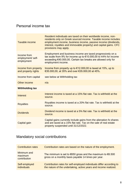#### Personal income taх

| Taxable income                                 | Resident individuals are taxed on their worldwide income, non-<br>residents only on Greek sourced income. Taxable income includes<br>employment income, business income, passive income (dividends,<br>interest, royalties and immovable property) and capital gains. CFC<br>provisions may apply. |  |  |
|------------------------------------------------|----------------------------------------------------------------------------------------------------------------------------------------------------------------------------------------------------------------------------------------------------------------------------------------------------|--|--|
| Income from<br>employment/ self-<br>employment | Employment and business income are taxed progressively on a<br>tax scale from 9% for income up to €10.000,00 to 44% for income<br>exceeding €40.000,00. Certain tax breaks are allowed only for<br>employment income.                                                                              |  |  |
| Income from property<br>and property rights    | Income from property up to $\epsilon$ 12.000,00 is taxed at 15%, up to<br>€35.000,00, at 35% and over €35.000,00 at 45%.                                                                                                                                                                           |  |  |
| Income from capital                            | see below at Withholding tax                                                                                                                                                                                                                                                                       |  |  |
| Other income                                   | n/a                                                                                                                                                                                                                                                                                                |  |  |
| <b>Withholding tax</b>                         |                                                                                                                                                                                                                                                                                                    |  |  |
| Interest                                       | Interest income is taxed at a 15% flat rate. Tax is withheld at the<br>source.                                                                                                                                                                                                                     |  |  |
| <b>Royalties</b>                               | Royalties income is taxed at a 20% flat rate. Tax is withheld at the<br>source.                                                                                                                                                                                                                    |  |  |
| <b>Dividends</b>                               | Dividend income is taxed at a 5% flat rate. Tax is withheld at the<br>source.                                                                                                                                                                                                                      |  |  |
| Capital gain                                   | Capital gains currently include gains from the alienation fo shares<br>and are taxed at a 15% flat rate. Tax on the sale of real estate<br>property suspended until 31/12/2022.                                                                                                                    |  |  |

# Mandatory social contributions

| <b>Contribution rates</b>              | Contribution rates are based on the nature of the employment.                                                                            |  |  |
|----------------------------------------|------------------------------------------------------------------------------------------------------------------------------------------|--|--|
| Minimum and<br>maximum<br>contribution | The minimum is set to $\epsilon$ 650 gross and the maximum to $\epsilon$ 6.500<br>gross on a monthly basis payable 14 times per year.    |  |  |
| Self-employed<br><b>individuals</b>    | Contribution rates for self-employed individuals differ according to<br>the nature of the undertaking, active years and income realized. |  |  |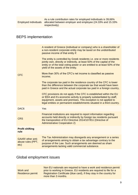As a rule contribution rates for employed individuals is 39,66% allocated between employer and employee (24.33% and 15.33% respectively).

#### BEPS implementation

|                                                | A resident of Greece (individual or company) who is a shareholder of<br>a non-resident corporate entity may be taxed on the undistributed<br>passive income of that entity if:                                                                                                              |
|------------------------------------------------|---------------------------------------------------------------------------------------------------------------------------------------------------------------------------------------------------------------------------------------------------------------------------------------------|
|                                                | The entity is controlled by Greek residents <i>i.e.</i> one or more residents<br>jointly own, directly or indirectly, at least 50% of the capital of the<br>entity or of the total voting power or are entitled to at least 50% of the<br>yield of the assets of the entity.                |
| <b>CFC</b>                                     | More than 30% of the CFC's net income is classified as passive<br>income;                                                                                                                                                                                                                   |
|                                                | The corporate tax paid in the residence country of the CFC is lower<br>than the difference between the corporate tax that would have been<br>paid in Greece and the actual corporate tax paid in a foreign country,                                                                         |
|                                                | CFC provisions do not apply if the CFC is established within the EU<br>or EEA and it's economic activity is properly substantiated by staff,<br>equipment, assets and premises. This exception is not applied to<br>legal entities or permanent establishments situated in a third country. |
| DAC <sub>6</sub>                               | Yes                                                                                                                                                                                                                                                                                         |
| <b>CRS</b>                                     | Financial institutions are required to report information regarding<br>accounts held directly or indirectly by foreign tax residents pursuant<br>the transposition of EU Directive 2014/107/EU (Directive of<br><b>Administrative Cooperation 2)</b>                                        |
| <b>Profit shifting</b><br>rule                 |                                                                                                                                                                                                                                                                                             |
| GAAR/ other anti-<br>abuse rules (PPT,<br>etc) | The Tax Administration may disregards any arrangement or a series<br>of arrangements aiming to obtain a tax advantage contrary to the<br>purpose of the Law. Such arrangements are deemed as sham<br>arrangements lacking valid commercial substance.                                       |
|                                                |                                                                                                                                                                                                                                                                                             |

#### Global employment issues

| Work and                |
|-------------------------|
| <b>Residence permit</b> |

Non EU nationals are required to have a work and residence permit prior to working in Greece. EU residents are required to file for a Registration Certificate (blue card), if they stay in the country for more than 3 months.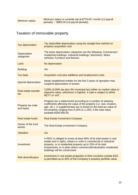## Taxation of immovable property

| <b>Tax depreciation</b>            | Tax deductible depreciation using the straight line method on<br>property acquisition cost                                                                                                                                                                                                                        |  |  |  |
|------------------------------------|-------------------------------------------------------------------------------------------------------------------------------------------------------------------------------------------------------------------------------------------------------------------------------------------------------------------|--|--|--|
| Depreciation<br>categories         | The basic depreciation categories are the following: Commercial /<br>residential buildings; Industrial buildings; Machinery; Motor<br>vehicles; Furniture and fixtures;                                                                                                                                           |  |  |  |
| Land                               | No depreciation                                                                                                                                                                                                                                                                                                   |  |  |  |
| <b>Building</b>                    | 4%                                                                                                                                                                                                                                                                                                                |  |  |  |
| <b>Tax base</b>                    | Acquisition cost plus additions and employment costs                                                                                                                                                                                                                                                              |  |  |  |
| <b>Special depreciation</b>        | Newly established entities for the first 3 years of operation may<br>suspend depreciation of assets.                                                                                                                                                                                                              |  |  |  |
| <b>Real estate transfer</b><br>tax | 3,09% (3,00% tax plus 3% municipal tax) either on market value or<br>objective value, whichever is highest. A sale is subject to either<br><b>RETT or VAT.</b>                                                                                                                                                    |  |  |  |
| Property tax (rate<br>and base)    | Property tax is determined according to a number of statutory<br>coefficients affecting the value of the property (i.e. size, location,<br>age, etc.). A supplementary tax is levied on the total tax value of<br>the property ranging from 0,15% to 1,15%, if the total value<br>exceeds €250.000,00.            |  |  |  |
| <b>Real estate funds</b>           | <b>Real Estate Investment Company</b>                                                                                                                                                                                                                                                                             |  |  |  |
| Owner of the fund<br>assets        | The Real Estate Investment Company                                                                                                                                                                                                                                                                                |  |  |  |
| Valuation                          | n/a                                                                                                                                                                                                                                                                                                               |  |  |  |
| Investment                         | A REIC is obliged to invest at least 80% of its total assets in real<br>estate and in rights, shares or units in commercial or industrial<br>property, or in residential property up to 25% of its total<br>investments, or in plots where commercial/industrial/or residential<br>buildings will be constructed. |  |  |  |
| <b>Risk diversification</b>        | Investment in real estate properties in third countries outside EEA<br>is permitted up to 20% of the Company's property portfolio value.                                                                                                                                                                          |  |  |  |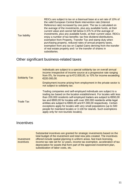| <b>Tax liability</b> | REICs are subject to tax on a biannual base at a set rate of 10% of<br>the valid European Central Bank intervention rate (Interest<br>Reference rate) increased by one point. The tax is calculated on<br>the average of the investments, plus any available funds, at their<br>current value and cannot fall below 0.375 % of the average of<br>investments, plus any available funds, at their current value. REICs<br>enjoy a number of tax benefits: tax free dividend distributions,<br>exemption from Property, Transfer Tax and stamp duty when<br>purchasing property, reduced rates of annual property taxes,<br>exemption from any tax on Capital Gains deriving from the transfer<br>of real estate property and / or the transfer of shares in<br>subsidiaries. |
|----------------------|-----------------------------------------------------------------------------------------------------------------------------------------------------------------------------------------------------------------------------------------------------------------------------------------------------------------------------------------------------------------------------------------------------------------------------------------------------------------------------------------------------------------------------------------------------------------------------------------------------------------------------------------------------------------------------------------------------------------------------------------------------------------------------|
|----------------------|-----------------------------------------------------------------------------------------------------------------------------------------------------------------------------------------------------------------------------------------------------------------------------------------------------------------------------------------------------------------------------------------------------------------------------------------------------------------------------------------------------------------------------------------------------------------------------------------------------------------------------------------------------------------------------------------------------------------------------------------------------------------------------|

#### Other significant business-related taxes

| <b>Solidarity Tax</b> | Individuals are subject to a special solidarity tax on overall annual<br>income irrespective of income source at a progressive rate ranging<br>from 0%, for income up to $€12.000,00$ , to 10% for income exceeding<br>€220.000,00.<br>Employment income arising from employment in the private sector is<br>not subject to solidarity tax.                                                                                                                                                                                                            |
|-----------------------|--------------------------------------------------------------------------------------------------------------------------------------------------------------------------------------------------------------------------------------------------------------------------------------------------------------------------------------------------------------------------------------------------------------------------------------------------------------------------------------------------------------------------------------------------------|
| <b>Trade Tax</b>      | Trading companies and self-employed individuals are subject to a<br>trading tax based on the location establishment. For locales with less<br>than 200.000 residents self-employed traders are subject to €650,00<br>tax and €800,00 for locales with over 200.000 residents while legal<br>entities are subject to €800,00 and €1.000,00 respectively. Certain<br>exceptions apply for locales with very small populations (up to 500)<br>people for mainland locales or 3.100 for islands. Such exemptions<br>apply only for non-touristic locales). |

#### **Incentives**

**Investment** incentives Substantial incentives are granted for strategic investments based on the total budget of the investment and total new jobs created. The incentives offered include spatial planning in uniform areas, fast track licensing, income tax rate set for 12 years, income tax exemption, acceleration of tax depreciation for assets that form part of the approved investment plan, subsidization of labor costs, etc.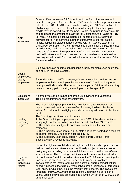| R&D<br>incentives                                        | Greece offers numerous R&D incentives in the form of incentives and<br>patent box regimes. A volume based R&D incentive scheme provides for a<br>rate of relief 30% of R&D related costs resulting in a 130% deduction of<br>eligible expenses. In case of insufficient offsetting tax liability surplus<br>credits may be carried over to the next 5 years (no refund is available). No<br>cap applies to the amount of qualifying R&D expenditure or value of R&D<br>tax relief. An income incentive patent box scheme for R&D activities<br>provides for tax free earnings during the first 3 years of IP utilization.<br>Finally, capital increases intended exclusively for R&D are exempt from<br>Capital Concentration Tax. Non-residents are eligible for the R&D regimes<br>provided they retain their tax residence in another EU or EEA member<br>state and a) at least ninety percent (90%) of their worldwide income is<br>realized in Greece or b) demonstrate that their taxable income is so low<br>that they would benefit from the reduction of tax under the tax laws of the<br>State of residence. |
|----------------------------------------------------------|------------------------------------------------------------------------------------------------------------------------------------------------------------------------------------------------------------------------------------------------------------------------------------------------------------------------------------------------------------------------------------------------------------------------------------------------------------------------------------------------------------------------------------------------------------------------------------------------------------------------------------------------------------------------------------------------------------------------------------------------------------------------------------------------------------------------------------------------------------------------------------------------------------------------------------------------------------------------------------------------------------------------------------------------------------------------------------------------------------------------|
| Young<br>employees,<br>elderly<br>employees              | Employer pension scheme contributions subsidy for employees below the<br>age of 25 in the private sector.                                                                                                                                                                                                                                                                                                                                                                                                                                                                                                                                                                                                                                                                                                                                                                                                                                                                                                                                                                                                              |
|                                                          | Super deduction of 150% of employer's social security contributions per<br>employee for hiring employees bellow the age of 30 and / or long term<br>unemployed individuals. The deduction is capped at 14 times the statutory<br>minimum salary paid to a single employee over the age of 25.                                                                                                                                                                                                                                                                                                                                                                                                                                                                                                                                                                                                                                                                                                                                                                                                                          |
| <b>Educational</b><br>incentives                         | An employee can be trained under the Employment and Vocational<br>Training programme funded by employers.                                                                                                                                                                                                                                                                                                                                                                                                                                                                                                                                                                                                                                                                                                                                                                                                                                                                                                                                                                                                              |
| <b>Holding</b><br>Company<br>Regime                      | The Greek holding company regime provides for a tax exemption on<br>capital gains realized form the transfer of shares, dividend distribution<br>arising from shares in qualifying subsidiaries or capitalization of distributed<br>profits.<br>The following conditions need to be met:<br>1. the Greek holding company owns at least 10% of the share capital or<br>voting rights of the subsidiary for a time period of at least 24 months;<br>2. The subsidiary is subject to corporate income tax in the state or<br>residence;<br>3. The subsidiary is resident of an EU state and is not treated as a resident<br>or another state by virtue of an applicable DTT.<br>4. The subsidiary is an entity listed in Annex I, Part 1 of the Parent -<br>Subsidiary EU Directive (2011/96/EU).                                                                                                                                                                                                                                                                                                                         |
| <b>High Net</b><br>Worth<br><b>Individuals</b><br>regime | Under the high net worth individual regime, individuals who opt to transfer<br>their tax residence to Greece are conditionally subject to an alternative<br>taxing regime providing for an annual flat tax amount on their non-Greek<br>source income. The following conditions should be met (a) the individual<br>did not have a Greek tax resident status for the 7 of 8 years preceding the<br>transfer of his tax residence to Greece and (b) can substantiate<br>investments in real estate or moveable assets or shares of legal entities<br>based in Greece either directly (themselves or their relatives) or through a<br>legal entity in which they hold the majority of the shares. The investment<br>threshold is €500.000,00 and must be concluded within a period of 3<br>years. Eligible individuals are subject to a lump sum tax of €100.000,00 on<br>an annual basis.                                                                                                                                                                                                                               |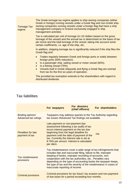| <b>Tonnage Tax</b><br>regime | The Greek tonnage tax regime applies to ship-owning companies (either<br>Greek or foreign) running vessels under a Greek flag and non-Greek ship-<br>owning companies running vessels under a foreign flag that have a ship<br>management company in Greece exclusively engaged in ship<br>management activities.                                   |
|------------------------------|-----------------------------------------------------------------------------------------------------------------------------------------------------------------------------------------------------------------------------------------------------------------------------------------------------------------------------------------------------|
|                              | Tax is calculated per unit of tonnage (in US dollars based on the gross<br>tonnage of the vessel) and the annual tax is determined on the basis of tax<br>per tonne and the total tonnage of the vessel, taking into account some<br>certain coefficients, i.e. age of the ship, etc.                                                               |
|                              | In addition, shipping tonnage tax is significantly reduced if the ship flies the<br>Greek flag and:                                                                                                                                                                                                                                                 |
|                              | Trades regularly between Greek and foreign ports or solely between<br>$\bullet$<br>foreign ports (50% reduction).<br>Is a passenger ship, sailing vessel or motor vessel (60%).<br>Is a fishing vessel (75%).<br>$\bullet$<br>Vessels built in Greek shipyards and flying a Greek flag are exempt<br>from tax for the first six years of operation. |
|                              | The provided tax exemption extends to the shareholders with regard to<br>distributed dividends.                                                                                                                                                                                                                                                     |

# Tax liabilities

|                                                 | For taxpayers                                                                                                                                                                                                                                                                                                                                                                                                                | For directors<br>(chief officers) | For shareholders |  |
|-------------------------------------------------|------------------------------------------------------------------------------------------------------------------------------------------------------------------------------------------------------------------------------------------------------------------------------------------------------------------------------------------------------------------------------------------------------------------------------|-----------------------------------|------------------|--|
| Binding opinion/<br><b>Advanced tax rulings</b> | Taxpayers may address queries to the Tax Authority regarding<br>tax issues / Advanced Tax Rulings not available.                                                                                                                                                                                                                                                                                                             |                                   |                  |  |
| <b>Penalties for late</b><br>payment of tax     | Late payment or non-payment (tax<br>assessment following a tax audit) of tax<br>incurs interest payment on the tax due<br>beginning from the legal deadline for<br>payment until the date of payment of the<br>tax. Currently the interest rate is set at<br>8.76% per annum. Interest is calculated<br>per diem.                                                                                                            |                                   | n/a              |  |
| Tax misdemeanor<br>provisions                   | Tax misdemeanors cover a wide range of tax infringements that<br>includes late and inaccurate filing, failure to file, improper<br>keeping of books, improper recording of accounts, non-<br>cooperation with the tax authorities, etc Penalties vary<br>depending on the type of accounting books the taxpayer keeps,<br>the type of tax and the severity of the misdemeanor in cases of<br>inaccurate reporting of income. |                                   |                  |  |
| <b>Criminal provisions</b>                      | Criminal provisions for tax fraud / tax evasion and non-payment<br>of due taxes for a period exceeding four months.                                                                                                                                                                                                                                                                                                          |                                   |                  |  |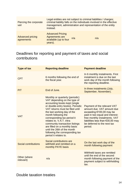| Piercing the corporate<br>veil        | Legal entities are not subject to criminal liabilities / charges;<br>criminal liability falls on the individuals involved in the effective<br>management, administration and representation of the entity<br>instead. |     |     |
|---------------------------------------|-----------------------------------------------------------------------------------------------------------------------------------------------------------------------------------------------------------------------|-----|-----|
| <b>Advanced pricing</b><br>agreements | <b>Advanced Pricing</b><br>Agreements are<br>available (up to four<br>years).                                                                                                                                         | n/a | n/a |

#### Deadlines for reporting and payment of taxes and social contributions

| <b>Type of tax</b>          | <b>Reporting deadline</b>                                                                                                                                                                                                                                                                                                                                                                                                                              | <b>Payment deadline</b>                                                                                                                                                                                                                   |
|-----------------------------|--------------------------------------------------------------------------------------------------------------------------------------------------------------------------------------------------------------------------------------------------------------------------------------------------------------------------------------------------------------------------------------------------------------------------------------------------------|-------------------------------------------------------------------------------------------------------------------------------------------------------------------------------------------------------------------------------------------|
| <b>CPT</b>                  | 6 months following the end of<br>the fiscal year.                                                                                                                                                                                                                                                                                                                                                                                                      | In 6 monthly instalments. First<br>instalment is due on the last<br>work day of the month following<br>the reporting deadline.                                                                                                            |
| <b>PIT</b>                  | End of June.                                                                                                                                                                                                                                                                                                                                                                                                                                           | In three instalments (July,<br>September, November).                                                                                                                                                                                      |
| <b>VAT</b>                  | Monthly or quarterly (periodic)<br>VAT depending on the type of<br>accounting books kept (single<br>or double-entry books). Periodic<br>VAT returns must be filed until<br>the last working day of the<br>month following the<br>corresponding tax period it<br>relates to, V.A.T. intra<br>community transaction listings<br>are filled on a monthly basis<br>until the 26th of the month<br>following the corresponding tax<br>period it relates to. | Payment of the relevant VAT<br>amount due. VAT amount due<br>exceeding €100,00 may be<br>paid in two equal and interest-<br>free monthly instalments. VAT<br>liabilities less than $€30,00$ may<br>be deferred to the next tax<br>period. |
| <b>Social contributions</b> | Social contributions are<br>withheld and remitted on a<br>monthly PAYE basis                                                                                                                                                                                                                                                                                                                                                                           | On the last work day of the<br>month following payment                                                                                                                                                                                    |
| Other (where<br>relevant)   | n/a                                                                                                                                                                                                                                                                                                                                                                                                                                                    | Withheld taxes are remitted<br>until the end of the second<br>month following payment of the<br>payment subject to withholding<br>tax.                                                                                                    |

## Double taxation treaties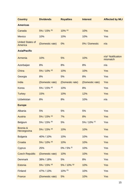| <b>Country</b>                     | <b>Dividends</b> | <b>Royalties</b> | <b>Interest</b> | <b>Affected by MLI</b>        |
|------------------------------------|------------------|------------------|-----------------|-------------------------------|
| <b>Americas</b>                    |                  |                  |                 |                               |
| Canada                             | 5% / 15% (b)     | $10\%$ (e)       | 10%             | <b>Yes</b>                    |
| <b>Mexico</b>                      | 10%              | 10%              | 10%             | Yes                           |
| <b>United States of</b><br>America | (Domestic rate)  | 0%               | 0% / Domestic   | n/a                           |
| <b>Asia/Pacific</b>                |                  |                  |                 |                               |
| Armenia                            | 10%              | 5%               | 10%             | n/a* Notification<br>mismatch |
| Azerbaijan                         | 8%               | 8%               | 8%              | n/a                           |
| China                              | 5% / 10% (d)     | 10%              | 10%             | <b>Yes</b>                    |
| Georgia                            | 8%               | 5%               | 8%              | Yes                           |
| India                              | (Domestic rate)  | (Domestic rate)  | (Domestic rate) | <b>Yes</b>                    |
| Korea                              | 5% / 15% (d)     | 10%              | 8%              | Yes                           |
| <b>Turkey</b>                      | 15%              | 10%              | 12%             | Yes                           |
| <b>Uzbekistan</b>                  | 8%               | 8%               | 10%             | n/a                           |
| <b>Europe</b>                      |                  |                  |                 |                               |
| Albania                            | 5%               | 5%               | 5%              | Yes                           |
| <b>Austria</b>                     | 5% / 15% (a)     | 7%               | 8%              | Yes                           |
| <b>Belgium</b>                     | 5% / 15% (b)     | 5%               | 5% / 10% (c)    | Yes                           |
| Bosnia &<br>Herzegovina            | 5% / 15% (d)     | 10%              | 10%             | Yes                           |
| <b>Bulgaria</b>                    | 40% / 10%        | 10%              | 10%             | Yes                           |
| Croatia                            | 5% / 10% (d)     | 10%              | 10%             | Yes                           |
| Cyprus                             | 25%              | 0% / 5% (f)      | 10%             | Yes                           |
| <b>Czech Republic</b>              | (Domestic rate)  | 10%              | 10%             | Yes                           |
| <b>Denmark</b>                     | 38% / 18%        | 5%               | 8%              | Yes                           |
| <b>Estonia</b>                     | 5% / 15% (d)     | 5% / 10% (g)     | 10%             | Yes                           |
| Finland                            | 47% / 13%        | 10% (h)          | 10%             | Yes                           |
| France                             | (Domestic rate)  | 5%               | 10%             | Yes                           |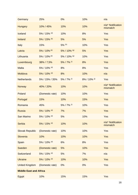| Germany                       | 25%             | 0%           | 10%          | n/a                           |
|-------------------------------|-----------------|--------------|--------------|-------------------------------|
| <b>Hungary</b>                | 10% / 45%       | 10%          | 10%          | n/a* Notification<br>mismatch |
| Iceland                       | 5% / 15% (d)    | 10%          | 8%           | Yes                           |
| <b>Ireland</b>                | 5% / 15% (b)    | 5%           | 5%           | <b>Yes</b>                    |
| Italy                         | 15%             | 5% (h)       | 10%          | Yes                           |
| Latvia                        | 5% / 10% (d)    | 5% / 10% (g) | 5%           | Yes                           |
| Lithuania                     | 5% / 10% (d)    | 5% / 10% (g) | 10%          | Yes                           |
| Luxembourg                    | 38% / 7,5%      | 5% / 7% (i)  | 8%           | <b>Yes</b>                    |
| <b>Malta</b>                  | 5% / 10% (d)    | 8%           | 8%           | Yes                           |
| Moldova                       | 5% / 10% (d)    | 8%           | 10%          | n/a                           |
| <b>Netherlands</b>            | 5% / 15% / 35%  | 5% / 7% (i)  | 8% / 10% (i) | Yes                           |
| <b>Norway</b>                 | 40% / 20%       | 10%          | 10%          | n/a* Notification<br>mismatch |
| Poland                        | (Domestic rate) | 10%          | 10%          | Yes                           |
| Portugal                      | 15%             | 10%          | 15%          | Yes                           |
| Romania                       | 45%             | 5% / 7% (i)  | 10%          | Yes                           |
| <b>Russia</b>                 | 5% / 10% (d)    | 7%           | 7%           | Yes                           |
| San Marino                    | 5% / 10% (d)    | 5%           | 10%          | Yes                           |
| Serbia                        | 5% / 15% (d)    | 10%          | 10%          | n/a* Notification<br>mismatch |
| <b>Slovak Republic</b>        | (Domestic rate) | 10%          | 10%          | Yes                           |
| Slovenia                      | 10%             | 10%          | 10%          | Yes                           |
| Spain                         | 5% / 10% (d)    | 6%           | 8%           | Yes                           |
| Sweden                        | (Domestic rate) | 5%           | 10%          | Yes                           |
| Switzerland                   | 5% / 15% (d)    | 5%           | 7%           | n/a                           |
| <b>Ukraine</b>                | 5% / 10% (d)    | 10%          | 10%          | Yes                           |
| <b>United Kingdom</b>         | (Domestic rate) | 0%           | 0%           | Yes                           |
| <b>Middle East and Africa</b> |                 |              |              |                               |
| Egypt                         | 10%             | 15%          | 15%          | Yes                           |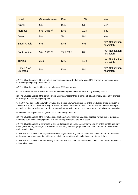| <b>Israel</b>                         | (Domestic rate) | 10%         | 10% | <b>Yes</b>                    |
|---------------------------------------|-----------------|-------------|-----|-------------------------------|
| <b>Kuwait</b>                         | 5%              | 15%         | 5%  | <b>Yes</b>                    |
| <b>Morocco</b>                        | 5% / 10% (d)    | 10%         | 10% | <b>Yes</b>                    |
| Qatar                                 | 5%              | 5%          | 5%  | Yes                           |
| Saudi Arabia                          | 5%              | 10%         | 5%  | n/a* Notification<br>mismatch |
| South Africa                          | 5% / 15% (d)    | 5% / 7% (i) | 8%  | n/a* Notification<br>mismatch |
| Tunisia                               | 35%             | 12%         | 15% | n/a* Notification<br>mismatch |
| <b>United Arab</b><br><b>Emirates</b> | 5%              | 10%         | 5%  | n/a* Notification<br>mismatch |

(a) The 5% rate applies if the beneficial owner is a company that directly holds 25% or more of the voting power of the company paying the dividends.

(b) The 5% rate is applicable to shareholders of 25% and above.

© The 5% rate applies to loans not incorporated into negotiable instruments and granted by banks.

(d) The 5% rate applies if the beneficiary is a company (other than a partnership) and directly holds 25% or more of the capital of the paying company.

€ The 0% rate applies to copyright royalties and similar payments in respect of the production or reproduction of any cultural or artistic work excluding, however, royalties in respect of motion picture films or royalties in respect of works on films or videotapes or other means of reproduction for use in connection with television broadcasting.

(f) The 5% rate applies to the right of use of cinematograph films.

(g) The 5% rate applies if the royalties consist of payments received as a consideration for the use of industrial, commercial, or scientific equipment. The 10% rate applies for all the other cases.

(h) The 0% rate applies to payments of any kind received as consideration for the use of, or the right to use, any copyright of literary, artistic, or scientific work, including cinematograph films and films or tapes for television or radio broadcasting.

(i) The 5% rate applies if the royalties consist of payments of any kind received as a consideration for the use of or the right to use any copyright of literary, artistic, or scientific work, including cinematograph films.

(j) The 8% rate applies if the beneficiary of the interests is a bank or a financial institution. The 10% rate applies to all the other cases.